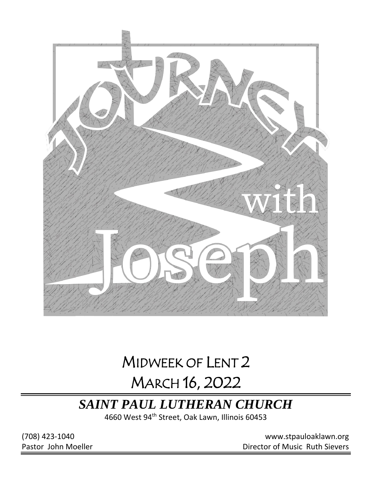

# MIDWEEK OF LENT 2 MARCH 16, 2022

## *SAINT PAUL LUTHERAN CHURCH*

4660 West 94<sup>th</sup> Street, Oak Lawn, Illinois 60453

(708) 423-1040 [www.stpauloaklawn.org](about:blank) Pastor John Moeller **Director of Music Ruth Sievers**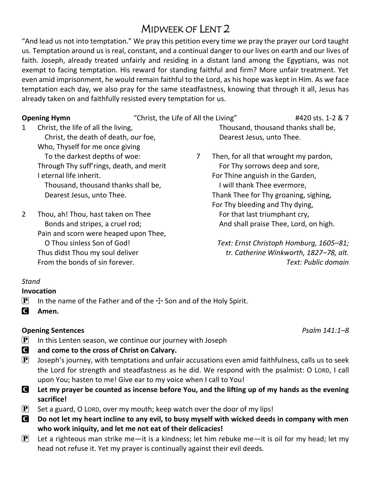## MIDWEEK OF LENT 2

"And lead us not into temptation." We pray this petition every time we pray the prayer our Lord taught us. Temptation around us is real, constant, and a continual danger to our lives on earth and our lives of faith. Joseph, already treated unfairly and residing in a distant land among the Egyptians, was not exempt to facing temptation. His reward for standing faithful and firm? More unfair treatment. Yet even amid imprisonment, he would remain faithful to the Lord, as his hope was kept in Him. As we face temptation each day, we also pray for the same steadfastness, knowing that through it all, Jesus has already taken on and faithfully resisted every temptation for us.

1 Christ, the life of all the living, Christ, the death of death, our foe, Who, Thyself for me once giving To the darkest depths of woe: Through Thy suff'rings, death, and merit I eternal life inherit. Thousand, thousand thanks shall be, Dearest Jesus, unto Thee.

2 Thou, ah! Thou, hast taken on Thee Bonds and stripes, a cruel rod; Pain and scorn were heaped upon Thee, O Thou sinless Son of God! Thus didst Thou my soul deliver From the bonds of sin forever.

### **Opening Hymn** "Christ, the Life of All the Living" #420 sts. 1-2 & 7 Thousand, thousand thanks shall be, Dearest Jesus, unto Thee.

7 Then, for all that wrought my pardon, For Thy sorrows deep and sore, For Thine anguish in the Garden, I will thank Thee evermore, Thank Thee for Thy groaning, sighing, For Thy bleeding and Thy dying, For that last triumphant cry, And shall praise Thee, Lord, on high.

> *Text: Ernst Christoph Homburg, 1605–81; tr. Catherine Winkworth, 1827–78, alt. Text: Public domain*

### *Stand*

### **Invocation**

- **P** In the name of the Father and of the  $\pm$  Son and of the Holy Spirit.
- C **Amen.**

### **Opening Sentences** *Psalm 141:1–8*

- $\mathbf{P}$  In this Lenten season, we continue our journey with Joseph
- C **and come to the cross of Christ on Calvary.**
- $\left[\mathbf{P}\right]$  Joseph's journey, with temptations and unfair accusations even amid faithfulness, calls us to seek the Lord for strength and steadfastness as he did. We respond with the psalmist: O LORD, I call upon You; hasten to me! Give ear to my voice when I call to You!
- C **Let my prayer be counted as incense before You, and the lifting up of my hands as the evening sacrifice!**
- $\mathbf{P}$  Set a guard, O LORD, over my mouth; keep watch over the door of my lips!
- C **Do not let my heart incline to any evil, to busy myself with wicked deeds in company with men who work iniquity, and let me not eat of their delicacies!**
- **P** Let a righteous man strike me—it is a kindness; let him rebuke me—it is oil for my head; let my head not refuse it. Yet my prayer is continually against their evil deeds.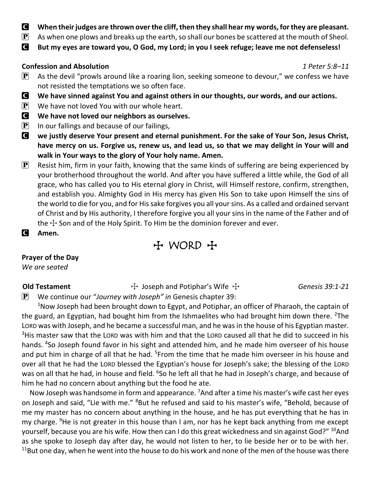- C **When their judges are thrown over the cliff, then they shall hear my words, for they are pleasant.**
- $\mathbf{P}$  As when one plows and breaks up the earth, so shall our bones be scattered at the mouth of Sheol.
- C **But my eyes are toward you, O God, my Lord; in you I seek refuge; leave me not defenseless!**

### **Confession and Absolution** *1 Peter 5:8–11*

- $\mathbf{P}$  As the devil "prowls around like a roaring lion, seeking someone to devour," we confess we have not resisted the temptations we so often face.
- C **We have sinned against You and against others in our thoughts, our words, and our actions.**
- $\left| \mathbf{P} \right|$  We have not loved You with our whole heart.
- C **We have not loved our neighbors as ourselves.**
- $\left| \mathbf{P} \right|$  In our fallings and because of our failings,
- C **we justly deserve Your present and eternal punishment. For the sake of Your Son, Jesus Christ, have mercy on us. Forgive us, renew us, and lead us, so that we may delight in Your will and walk in Your ways to the glory of Your holy name. Amen.**
- $\mathbf{P}$  Resist him, firm in your faith, knowing that the same kinds of suffering are being experienced by your brotherhood throughout the world. And after you have suffered a little while, the God of all grace, who has called you to His eternal glory in Christ, will Himself restore, confirm, strengthen, and establish you. Almighty God in His mercy has given His Son to take upon Himself the sins of the world to die for you, and for His sake forgives you all your sins. As a called and ordained servant of Christ and by His authority, I therefore forgive you all your sins in the name of the Father and of the  $\pm$  Son and of the Holy Spirit. To Him be the dominion forever and ever.
- C **Amen.**

## + WORD +

### **Prayer of the Day**

*We are seated*

**Old Testament** The Seph and Potiphar's Wife The *Genesis 39:1-21* 

P We continue our "*Journey with Joseph" in* Genesis chapter 39:

<sup>1</sup>Now Joseph had been brought down to Egypt, and Potiphar, an officer of Pharaoh, the captain of the guard, an Egyptian, had bought him from the Ishmaelites who had brought him down there. <sup>2</sup>The LORD was with Joseph, and he became a successful man, and he was in the house of his Egyptian master. <sup>3</sup>His master saw that the LORD was with him and that the LORD caused all that he did to succeed in his hands. <sup>4</sup>So Joseph found favor in his sight and attended him, and he made him overseer of his house and put him in charge of all that he had. <sup>5</sup>From the time that he made him overseer in his house and over all that he had the LORD blessed the Egyptian's house for Joseph's sake; the blessing of the LORD was on all that he had, in house and field. <sup>6</sup>So he left all that he had in Joseph's charge, and because of him he had no concern about anything but the food he ate.

Now Joseph was handsome in form and appearance. <sup>7</sup>And after a time his master's wife cast her eyes on Joseph and said, "Lie with me." <sup>8</sup>But he refused and said to his master's wife, "Behold, because of me my master has no concern about anything in the house, and he has put everything that he has in my charge. <sup>9</sup>He is not greater in this house than I am, nor has he kept back anything from me except yourself, because you are his wife. How then can I do this great wickedness and sin against God?" <sup>10</sup>And as she spoke to Joseph day after day, he would not listen to her, to lie beside her or to be with her.  $11$ But one day, when he went into the house to do his work and none of the men of the house was there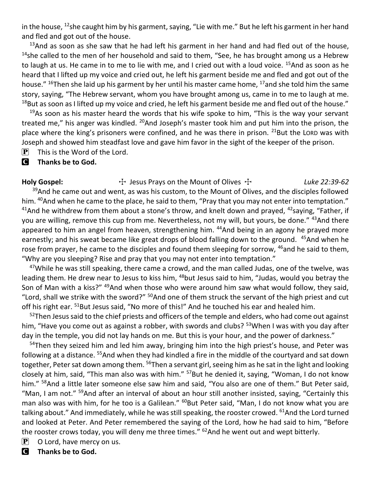in the house,  $^{12}$ she caught him by his garment, saying, "Lie with me." But he left his garment in her hand and fled and got out of the house.

 $13$ And as soon as she saw that he had left his garment in her hand and had fled out of the house,  $14$ she called to the men of her household and said to them, "See, he has brought among us a Hebrew to laugh at us. He came in to me to lie with me, and I cried out with a loud voice. <sup>15</sup>And as soon as he heard that I lifted up my voice and cried out, he left his garment beside me and fled and got out of the house." <sup>16</sup>Then she laid up his garment by her until his master came home, <sup>17</sup>and she told him the same story, saying, "The Hebrew servant, whom you have brought among us, came in to me to laugh at me.  $18$ But as soon as I lifted up my voice and cried, he left his garment beside me and fled out of the house."

 $19$ As soon as his master heard the words that his wife spoke to him, "This is the way your servant treated me," his anger was kindled. <sup>20</sup>And Joseph's master took him and put him into the prison, the place where the king's prisoners were confined, and he was there in prison.  $^{21}$ But the LORD was with Joseph and showed him steadfast love and gave him favor in the sight of the keeper of the prison.

 $\mathbf{P}$  This is the Word of the Lord.

### C **Thanks be to God.**

Holy Gospel: <br>The Thesus Prays on the Mount of Olives  $\pm$  Luke 22:39-62

 $39$ And he came out and went, as was his custom, to the Mount of Olives, and the disciples followed him. <sup>40</sup>And when he came to the place, he said to them, "Pray that you may not enter into temptation." <sup>41</sup>And he withdrew from them about a stone's throw, and knelt down and prayed, <sup>42</sup>saying, "Father, if you are willing, remove this cup from me. Nevertheless, not my will, but yours, be done." <sup>43</sup>And there appeared to him an angel from heaven, strengthening him. <sup>44</sup>And being in an agony he prayed more earnestly; and his sweat became like great drops of blood falling down to the ground. <sup>45</sup>And when he rose from prayer, he came to the disciples and found them sleeping for sorrow, <sup>46</sup>and he said to them, "Why are you sleeping? Rise and pray that you may not enter into temptation."

 $47$ While he was still speaking, there came a crowd, and the man called Judas, one of the twelve, was leading them. He drew near to Jesus to kiss him, <sup>48</sup>but Jesus said to him, "Judas, would you betray the Son of Man with a kiss?" <sup>49</sup>And when those who were around him saw what would follow, they said, "Lord, shall we strike with the sword?" <sup>50</sup>And one of them struck the servant of the high priest and cut off his right ear. <sup>51</sup>But Jesus said, "No more of this!" And he touched his ear and healed him.

 $52$ Then Jesus said to the chief priests and officers of the temple and elders, who had come out against him, "Have you come out as against a robber, with swords and clubs? <sup>53</sup>When I was with you day after day in the temple, you did not lay hands on me. But this is your hour, and the power of darkness."

<sup>54</sup>Then they seized him and led him away, bringing him into the high priest's house, and Peter was following at a distance. <sup>55</sup>And when they had kindled a fire in the middle of the courtyard and sat down together, Peter sat down among them. <sup>56</sup>Then a servant girl, seeing him as he sat in the light and looking closely at him, said, "This man also was with him." <sup>57</sup>But he denied it, saying, "Woman, I do not know him." <sup>58</sup>And a little later someone else saw him and said, "You also are one of them." But Peter said, "Man, I am not." <sup>59</sup>And after an interval of about an hour still another insisted, saying, "Certainly this man also was with him, for he too is a Galilean." <sup>60</sup>But Peter said, "Man, I do not know what you are talking about." And immediately, while he was still speaking, the rooster crowed. <sup>61</sup>And the Lord turned and looked at Peter. And Peter remembered the saying of the Lord, how he had said to him, "Before the rooster crows today, you will deny me three times."  $62$  And he went out and wept bitterly.

 $\mathbf{P}$  O Lord, have mercy on us.

C **Thanks be to God.**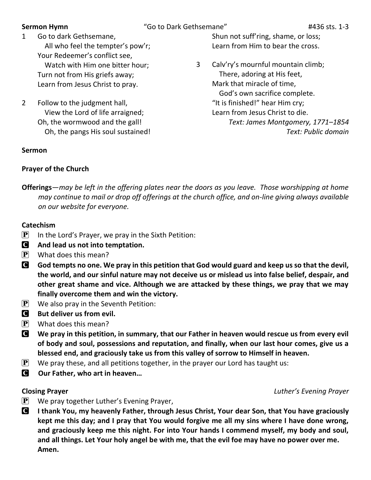**Sermon Hymn** "Go to Dark Gethsemane"  $#436$  sts. 1-3

- 1 Go to dark Gethsemane, All who feel the tempter's pow'r; Your Redeemer's conflict see, Watch with Him one bitter hour; Turn not from His griefs away; Learn from Jesus Christ to pray.
- 2 Follow to the judgment hall, View the Lord of life arraigned; Oh, the wormwood and the gall! Oh, the pangs His soul sustained!

### **Sermon**

Shun not suff'ring, shame, or loss; Learn from Him to bear the cross.

3 Calv'ry's mournful mountain climb; There, adoring at His feet, Mark that miracle of time, God's own sacrifice complete. "It is finished!" hear Him cry; Learn from Jesus Christ to die. *Text: James Montgomery, 1771–1854 Text: Public domain*

### **Prayer of the Church**

**Offerings***—may be left in the offering plates near the doors as you leave. Those worshipping at home may continue to mail or drop off offerings at the church office, and on-line giving always available on our website for everyone.* 

### **Catechism**

- $\mathbf{P}$  In the Lord's Prayer, we pray in the Sixth Petition:
- C **And lead us not into temptation.**
- $\left| \mathbf{P} \right|$  What does this mean?
- God tempts no one. We pray in this petition that God would guard and keep us so that the devil, **the world, and our sinful nature may not deceive us or mislead us into false belief, despair, and other great shame and vice. Although we are attacked by these things, we pray that we may finally overcome them and win the victory.**
- $\left| \mathbf{P} \right|$  We also pray in the Seventh Petition:
- **C** But deliver us from evil.
- $\left| \mathbf{P} \right|$  What does this mean?
- C **We pray in this petition, in summary, that our Father in heaven would rescue us from every evil of body and soul, possessions and reputation, and finally, when our last hour comes, give us a blessed end, and graciously take us from this valley of sorrow to Himself in heaven.**
- $\mathbf{P}$  We pray these, and all petitions together, in the prayer our Lord has taught us:
- C **Our Father, who art in heaven…**

### **Closing Prayer** *Luther's Evening Prayer*

- $\left| \mathbf{P} \right|$  We pray together Luther's Evening Prayer,
- C **I thank You, my heavenly Father, through Jesus Christ, Your dear Son, that You have graciously kept me this day; and I pray that You would forgive me all my sins where I have done wrong, and graciously keep me this night. For into Your hands I commend myself, my body and soul, and all things. Let Your holy angel be with me, that the evil foe may have no power over me. Amen.**